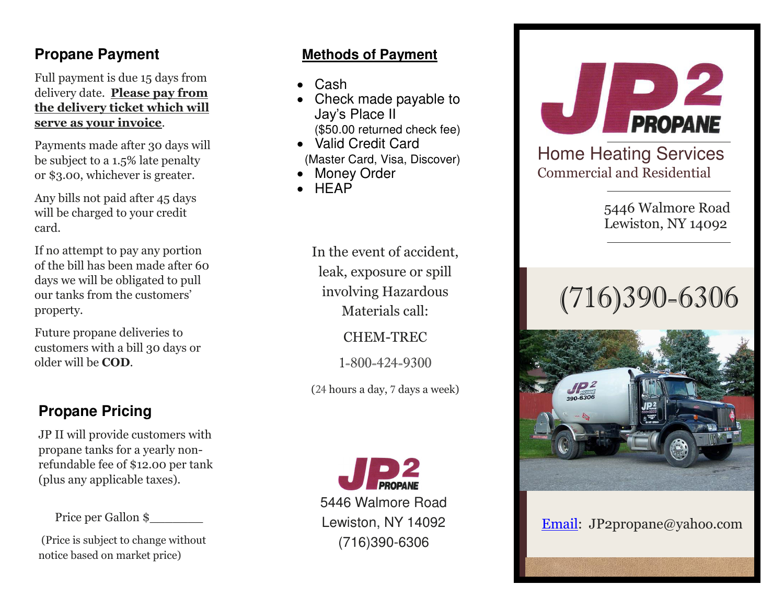## **Propane Payment**

Full payment is due 15 days from delivery date. **Please pay from the delivery ticket which will serve as your invoice**.

Payments made after 30 days will be subject to a 1.5% late penalty or \$3.00, whichever is greater.

Any bills not paid after 45 days will be charged to your credit card.

If no attempt to pay any portion of the bill has been made after 60 days we will be obligated to pull our tanks from the customers' property.

Future propane deliveries to customers with a bill 30 days or older will be **COD**.

## **Propane Pricing**

JP II will provide customers with propane tanks for a yearly nonrefundable fee of \$12.00 per tank (plus any applicable taxes).

Price per Gallon \$\_\_\_\_\_\_\_

(Price is subject to change without notice based on market price)

### **Methods of Payment**

- Cash
- Check made payable to Jay's Place II (\$50.00 returned check fee)
- Valid Credit Card (Master Card, Visa, Discover)
- Money Order
- **HEAP**

In the event of accident, leak, exposure or spill involving Hazardous

Materials call:

CHEM-TREC

1-800-424-9300

(24 hours a day, 7 days a week)



5446 Walmore Road Lewiston, NY 14092 (716)390-6306



Home Heating Services Commercial and Residential

> 5446 Walmore Road Lewiston, NY 14092

# (716)390-6306



[Email:](http://www.jp2propaneservice.com/) JP2propane@yahoo.com